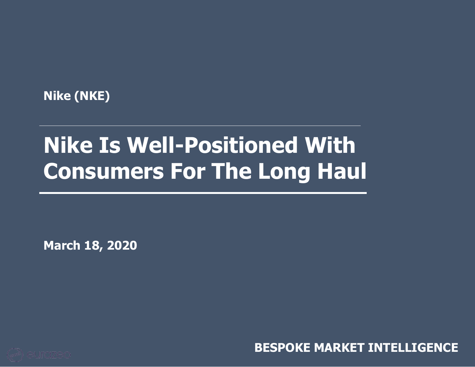

### **Awareness and Market Share I Nike Is Well-Positioned With Consumers For The Long Haul**

**March 18, 2020**

**BESPOKE MARKET INTELLIGENCE**

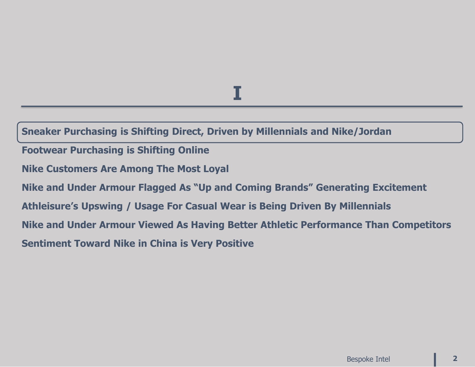### **I**

**Sneaker Purchasing is Shifting Direct, Driven by Millennials and Nike/Jordan**

- **Footwear Purchasing is Shifting Online**
- **Nike Customers Are Among The Most Loyal**
- **Nike and Under Armour Flagged As "Up and Coming Brands" Generating Excitement**
- **Athleisure's Upswing / Usage For Casual Wear is Being Driven By Millennials**
- **Nike and Under Armour Viewed As Having Better Athletic Performance Than Competitors**
- **Sentiment Toward Nike in China is Very Positive**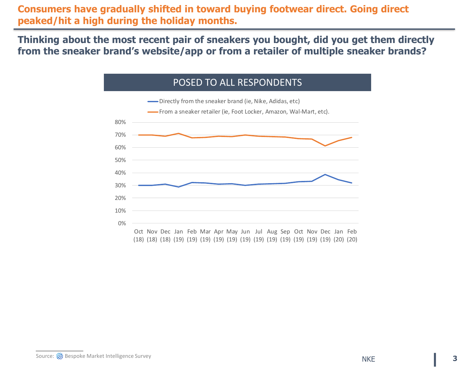**Consumers have gradually shifted in toward buying footwear direct. Going direct peaked/hit a high during the holiday months.**

**Thinking about the most recent pair of sneakers you bought, did you get them directly from the sneaker brand's website/app or from a retailer of multiple sneaker brands?**

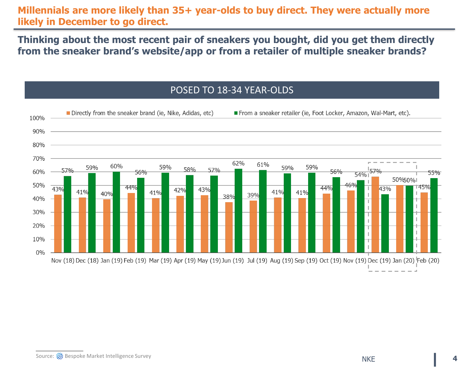**Millennials are more likely than 35+ year-olds to buy direct. They were actually more likely in December to go direct.**

**Thinking about the most recent pair of sneakers you bought, did you get them directly from the sneaker brand's website/app or from a retailer of multiple sneaker brands?**

#### POSED TO 18-34 YEAR-OLDS

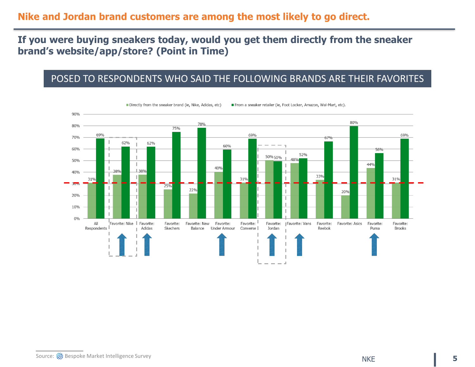#### **Nike and Jordan brand customers are among the most likely to go direct.**

**If you were buying sneakers today, would you get them directly from the sneaker brand's website/app/store? (Point in Time)**

#### POSED TO RESPONDENTS WHO SAID THE FOLLOWING BRANDS ARE THEIR FAVORITES



Directly from the sneaker brand (ie, Nike, Adidas, etc) From a sneaker retailer (ie, Foot Locker, Amazon, Wal-Mart, etc).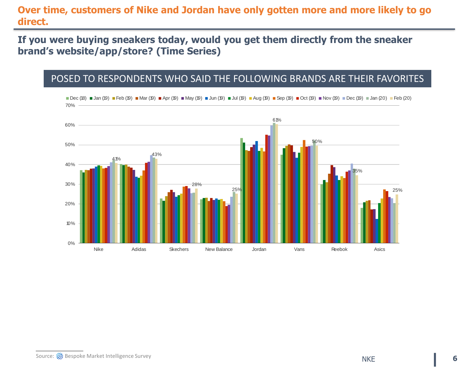#### **Over time, customers of Nike and Jordan have only gotten more and more likely to go direct.**

**If you were buying sneakers today, would you get them directly from the sneaker brand's website/app/store? (Time Series)**

#### POSED TO RESPONDENTS WHO SAID THE FOLLOWING BRANDS ARE THEIR FAVORITES



■ Dec (18) ■ Jan (19) ■ Feb (19) ■ Mar (19) ■ Apr (19) ■ May (19) ■ Jun (19) ■ Jul (19) ■ Aug (19) ■ Sep (19) ■ Oct (19) ■ Nov (19) ■ Dec (19) ■ Jan (20) ■ Feb (20)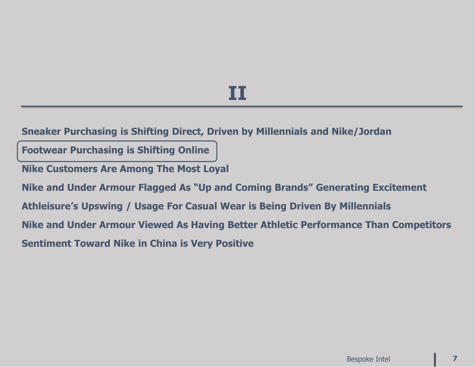### **II**

**Sneaker Purchasing is Shifting Direct, Driven by Millennials and Nike/Jordan**

**Footwear Purchasing is Shifting Online**

**Nike Customers Are Among The Most Loyal**

**Nike and Under Armour Flagged As "Up and Coming Brands" Generating Excitement**

**Athleisure's Upswing / Usage For Casual Wear is Being Driven By Millennials**

**Nike and Under Armour Viewed As Having Better Athletic Performance Than Competitors**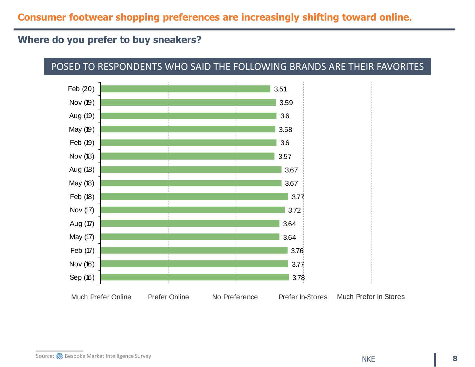#### **Consumer footwear shopping preferences are increasingly shifting toward online.**

#### **Where do you prefer to buy sneakers?**



#### POSED TO RESPONDENTS WHO SAID THE FOLLOWING BRANDS ARE THEIR FAVORITES

Source: Bespoke Market Intelligence Survey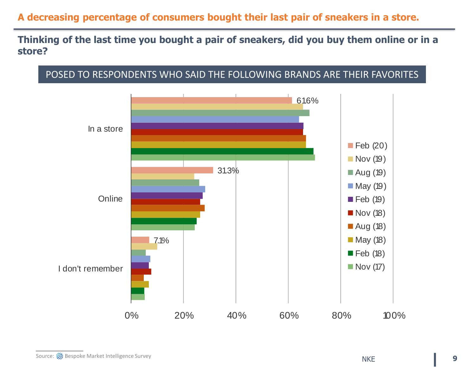**Thinking of the last time you bought a pair of sneakers, did you buy them online or in a store?**

#### POSED TO RESPONDENTS WHO SAID THE FOLLOWING BRANDS ARE THEIR FAVORITES

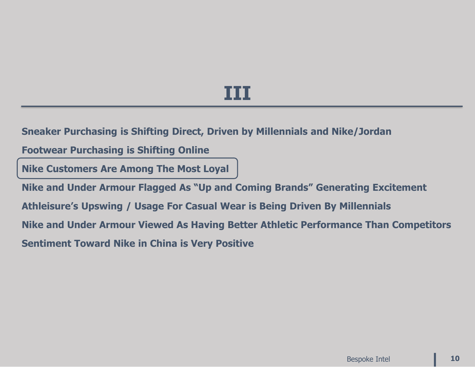### **III**

**Sneaker Purchasing is Shifting Direct, Driven by Millennials and Nike/Jordan**

**Footwear Purchasing is Shifting Online**

**Nike Customers Are Among The Most Loyal**

**Nike and Under Armour Flagged As "Up and Coming Brands" Generating Excitement Athleisure's Upswing / Usage For Casual Wear is Being Driven By Millennials Nike and Under Armour Viewed As Having Better Athletic Performance Than Competitors Sentiment Toward Nike in China is Very Positive**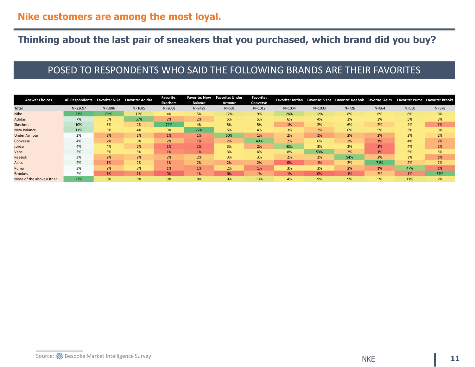#### **Thinking about the last pair of sneakers that you purchased, which brand did you buy?**

#### POSED TO RESPONDENTS WHO SAID THE FOLLOWING BRANDS ARE THEIR FAVORITES

| <b>Answer Choices</b>   |             |            | All Respondents Favorite: Nike Favorite: Adidas | <b>Favorite:</b> | <b>Favorite: New</b> | <b>Favorite: Under</b> | Favorite:  | <b>Favorite: Jordan</b> |            | Favorite: Vans Favorite: Reebok Favorite: Asics |           |           | Favorite: Puma Favorite: Brooks |
|-------------------------|-------------|------------|-------------------------------------------------|------------------|----------------------|------------------------|------------|-------------------------|------------|-------------------------------------------------|-----------|-----------|---------------------------------|
|                         |             |            |                                                 | <b>Skechers</b>  | <b>Balance</b>       | Armour                 | Converse   |                         |            |                                                 |           |           |                                 |
| <b>Total</b>            | $N = 22697$ | $N = 5886$ | $N = 1685$                                      | $N = 2008$       | $N = 2429$           | $N = 501$              | $N = 1012$ | $N = 1064$              | $N = 1003$ | $N = 726$                                       | $N = 864$ | $N = 550$ | $N = 378$                       |
| <b>Nike</b>             | 23%         | 65%        | 12%                                             | 4%               | 5%                   | 12%                    | 9%         | 26%                     | 12%        | 8%                                              | 6%        | 8%        | 6%                              |
| Adidas                  | 7%          | 5%         | 56%                                             | 2%               | 2%                   | 5%                     | 5%         | 6%                      | 4%         | 3%                                              | 3%        | 5%        | 3%                              |
| <b>Skechers</b>         | 10%         | 3%         | 2%                                              | 74%              | 4%                   | 5%                     | 5%         | 1%                      | 2%         | 6%                                              | 2%        | 4%        | 1%                              |
| <b>New Balance</b>      | 11%         | 3%         | 4%                                              | 3%               | 72%                  | 5%                     | 4%         | 3%                      | 2%         | 6%                                              | 5%        | 3%        | 3%                              |
| <b>Under Armour</b>     | 2%          | 2%         | 2%                                              | 1%               | 1%                   | 50%                    | 1%         | 2%                      | 1%         | 2%                                              | 2%        | 3%        | 2%                              |
| Converse                | 4%          | 2%         | 3%                                              | 2%               | 1%                   | 2%                     | 49%        | 2%                      | 6%         | 2%                                              | 1%        | 4%        | 2%                              |
| Jordan                  | 4%          | 4%         | 2%                                              | 1%               | 1%                   | 3%                     | 2%         | 43%                     | 3%         | 3%                                              | $1\%$     | 4%        | 2%                              |
| Vans                    | 5%          | 3%         | 3%                                              | 1%               | 1%                   | 3%                     | 6%         | 8%                      | 53%        | 2%                                              | 1%        | 5%        | 3%                              |
| Reebok                  | 3%          | 2%         | 2%                                              | 2%               | 2%                   | 3%                     | 3%         | 2%                      | 2%         | 54%                                             | 2%        | 3%        | 1%                              |
| Asics                   | 4%          | 1%         | 2%                                              | 1%               | 2%                   | 2%                     | 2%         | 0%                      | 1%         | 2%                                              | 71%       | 2%        | 2%                              |
| Puma                    | 3%          | 2%         | 3%                                              | 1%               | 1%                   | 2%                     | 1%         | 3%                      | 3%         | 2%                                              | 1%        | 47%       | 1%                              |
| <b>Brookes</b>          | 2%          | 1%         | 1%                                              | 0%               | 1%                   | 0%                     | 1%         | 1%                      | 0%         | 1%                                              | 2%        | 1%        | 67%                             |
| None of the above/Other | 22%         | 8%         | 9%                                              | 9%               | 8%                   | 9%                     | 13%        | 4%                      | 9%         | 9%                                              | 5%        | 11%       | 7%                              |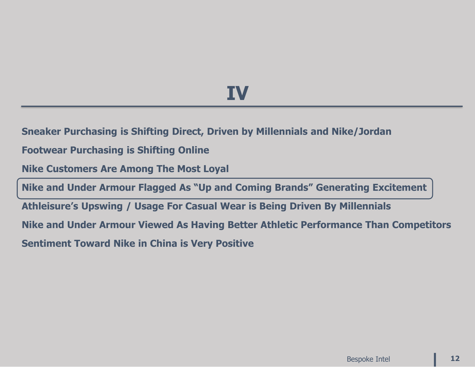## **IV**

**Sneaker Purchasing is Shifting Direct, Driven by Millennials and Nike/Jordan**

**Footwear Purchasing is Shifting Online**

**Nike Customers Are Among The Most Loyal**

**Nike and Under Armour Flagged As "Up and Coming Brands" Generating Excitement**

**Athleisure's Upswing / Usage For Casual Wear is Being Driven By Millennials**

**Nike and Under Armour Viewed As Having Better Athletic Performance Than Competitors**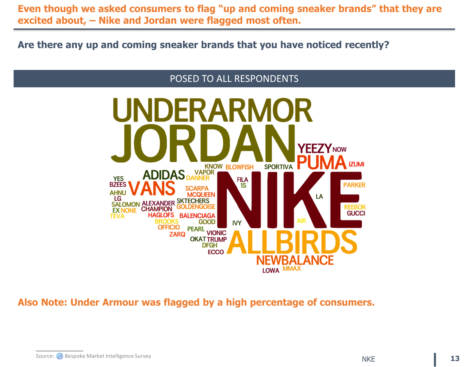**Even though we asked consumers to flag "up and coming sneaker brands" that they are excited about, – Nike and Jordan were flagged most often.**

**Are there any up and coming sneaker brands that you have noticed recently?**

#### POSED TO ALL RESPONDENTS **YEEZY** NOW **IZUMI SPORTIVA KNOW BLOWFISH ADIDAS** VAPOR **YES FILA PARKER BZEES** 1S SCARPA **AHNU MCQUEEN** LA LG LG<br>SALOMON ALEXANDER SKTECHERS **NGOISE REEBOK** EX NONE CHAMPION **GUCCI HAGLOFS BALENCIAGA** TEVA **BROOKS GOOD IVY** PEARL VIONIC **OFFICIO ZARQ OKATTRUMP DFGH ECCO EWBA ANCE** LOWA MMAX

**Also Note: Under Armour was flagged by a high percentage of consumers.**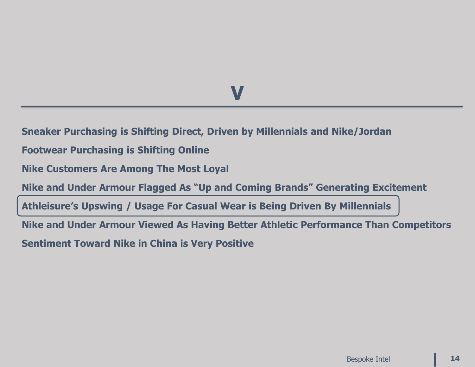### **V**

**Sneaker Purchasing is Shifting Direct, Driven by Millennials and Nike/Jordan**

**Footwear Purchasing is Shifting Online**

**Nike Customers Are Among The Most Loyal**

**Nike and Under Armour Flagged As "Up and Coming Brands" Generating Excitement**

**Athleisure's Upswing / Usage For Casual Wear is Being Driven By Millennials**

**Nike and Under Armour Viewed As Having Better Athletic Performance Than Competitors**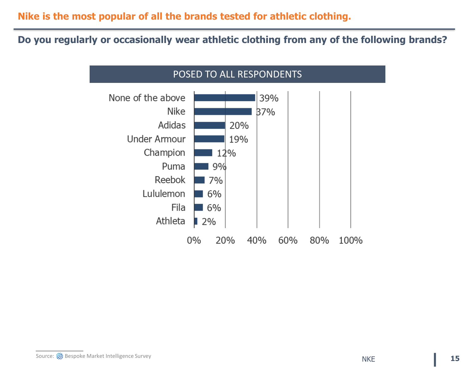**Do you regularly or occasionally wear athletic clothing from any of the following brands?**

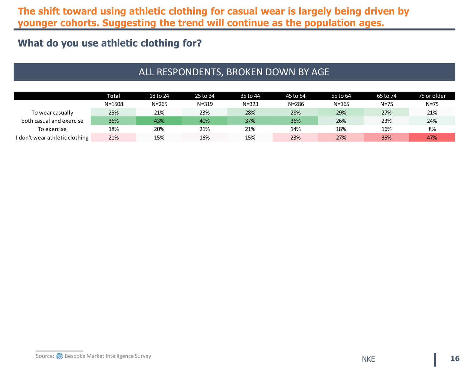#### **The shift toward using athletic clothing for casual wear is largely being driven by younger cohorts. Suggesting the trend will continue as the population ages.**

#### **What do you use athletic clothing for?**

### ALL RESPONDENTS, BROKEN DOWN BY AGE

|                                | <b>Total</b> | 18 to 24  | 25 to 34  | 35 to 44  | 45 to 54  | 55 to 64  | 65 to 74 | 75 or older |
|--------------------------------|--------------|-----------|-----------|-----------|-----------|-----------|----------|-------------|
|                                | $N = 1508$   | $N = 265$ | $N = 319$ | $N = 323$ | $N = 286$ | $N = 165$ | $N = 75$ | $N = 75$    |
| To wear casually               | 25%          | 21%       | 23%       | 28%       | 28%       | 29%       | 27%      | 21%         |
| both casual and exercise       | 36%          | 43%       | 40%       | 37%       | 36%       | 26%       | 23%      | 24%         |
| To exercise                    | 18%          | 20%       | 21%       | 21%       | 14%       | 18%       | 16%      | 8%          |
| I don't wear athletic clothing | 21%          | 15%       | 16%       | 15%       | 23%       | 27%       | 35%      | 47%         |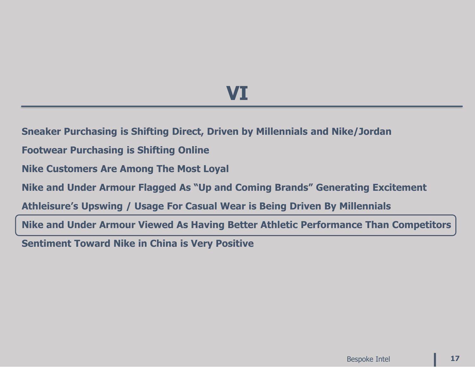## **VI**

**Sneaker Purchasing is Shifting Direct, Driven by Millennials and Nike/Jordan**

**Footwear Purchasing is Shifting Online**

**Nike Customers Are Among The Most Loyal**

**Nike and Under Armour Flagged As "Up and Coming Brands" Generating Excitement**

**Athleisure's Upswing / Usage For Casual Wear is Being Driven By Millennials**

**Nike and Under Armour Viewed As Having Better Athletic Performance Than Competitors**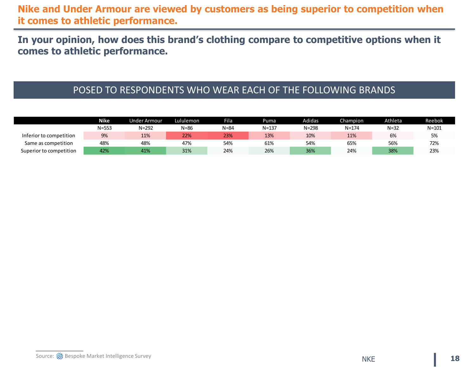**Nike and Under Armour are viewed by customers as being superior to competition when it comes to athletic performance.**

**In your opinion, how does this brand's clothing compare to competitive options when it comes to athletic performance.**

#### POSED TO RESPONDENTS WHO WEAR EACH OF THE FOLLOWING BRANDS

|                         | Nike  | Jnder Armour | Lululemon | <b>Fila</b> | Puma  | Adidas | Champion  | Athleta  | <b>Reebok</b> |
|-------------------------|-------|--------------|-----------|-------------|-------|--------|-----------|----------|---------------|
|                         | N=553 | N=292        | N=86      | $N = 84$    | N=137 | N=298  | $N = 174$ | $N = 32$ | $N = 101$     |
| Inferior to competition | 9%    | 11%          | 22%       | 23%         | 13%   | 10%    | 11%       | 6%       | 5%            |
| Same as competition     | 48%   | 48%          | 47%       | 54%         | 61%   | 54%    | 65%       | 56%      | 72%           |
| Superior to competition | 42%   | 41%          | 31%       | 24%         | 26%   | 36%    | 24%       | 38%      | 23%           |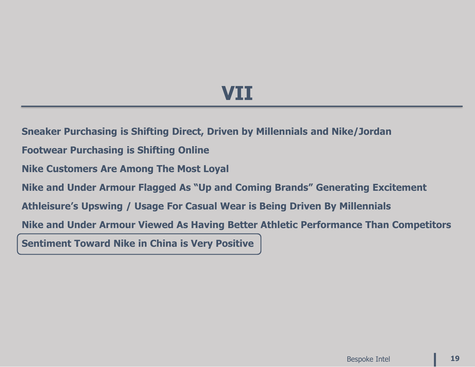# **VII**

**Sneaker Purchasing is Shifting Direct, Driven by Millennials and Nike/Jordan**

**Footwear Purchasing is Shifting Online**

**Nike Customers Are Among The Most Loyal**

**Nike and Under Armour Flagged As "Up and Coming Brands" Generating Excitement**

**Athleisure's Upswing / Usage For Casual Wear is Being Driven By Millennials**

**Nike and Under Armour Viewed As Having Better Athletic Performance Than Competitors**